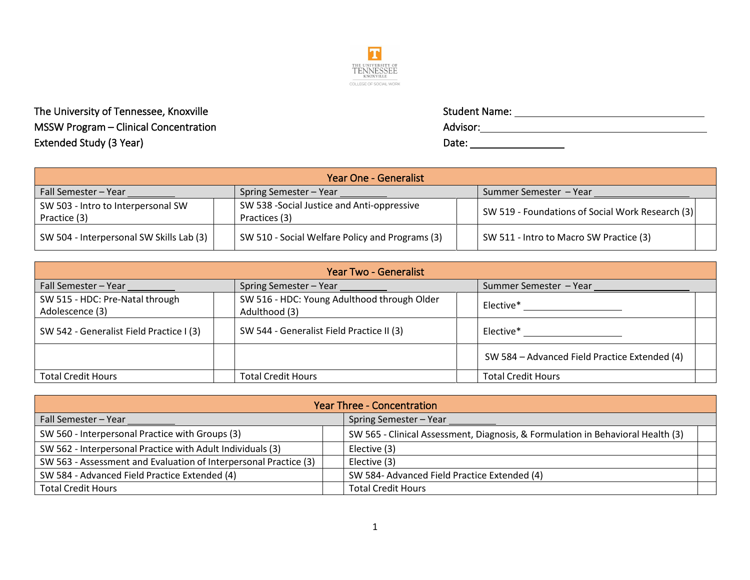

The University of Tennessee, Knoxville  $MSSW$  Program – Clinical Concentration Extended Study (3 Year)

| <b>Student Name:</b> |  |
|----------------------|--|
| Advisor:             |  |
| Date:                |  |

| <b>Year One - Generalist</b>                       |                                                              |  |                                                  |  |  |  |  |
|----------------------------------------------------|--------------------------------------------------------------|--|--------------------------------------------------|--|--|--|--|
| Fall Semester - Year                               | Spring Semester - Year                                       |  | Summer Semester - Year                           |  |  |  |  |
| SW 503 - Intro to Interpersonal SW<br>Practice (3) | SW 538 - Social Justice and Anti-oppressive<br>Practices (3) |  | SW 519 - Foundations of Social Work Research (3) |  |  |  |  |
| SW 504 - Interpersonal SW Skills Lab (3)           | SW 510 - Social Welfare Policy and Programs (3)              |  | SW 511 - Intro to Macro SW Practice (3)          |  |  |  |  |

| <b>Year Two - Generalist</b>                                                          |                                                              |                                               |  |  |  |  |
|---------------------------------------------------------------------------------------|--------------------------------------------------------------|-----------------------------------------------|--|--|--|--|
| Fall Semester - Year                                                                  | Spring Semester - Year                                       | Summer Semester - Year                        |  |  |  |  |
| SW 515 - HDC: Pre-Natal through<br>Adolescence (3)                                    | SW 516 - HDC: Young Adulthood through Older<br>Adulthood (3) | Elective*                                     |  |  |  |  |
| SW 544 - Generalist Field Practice II (3)<br>SW 542 - Generalist Field Practice I (3) |                                                              | Elective*                                     |  |  |  |  |
|                                                                                       |                                                              | SW 584 - Advanced Field Practice Extended (4) |  |  |  |  |
| <b>Total Credit Hours</b>                                                             | <b>Total Credit Hours</b>                                    | <b>Total Credit Hours</b>                     |  |  |  |  |

| <b>Year Three - Concentration</b>                                |  |                                                                                 |  |  |  |
|------------------------------------------------------------------|--|---------------------------------------------------------------------------------|--|--|--|
| Fall Semester - Year                                             |  | Spring Semester - Year                                                          |  |  |  |
| SW 560 - Interpersonal Practice with Groups (3)                  |  | SW 565 - Clinical Assessment, Diagnosis, & Formulation in Behavioral Health (3) |  |  |  |
| SW 562 - Interpersonal Practice with Adult Individuals (3)       |  | Elective (3)                                                                    |  |  |  |
| SW 563 - Assessment and Evaluation of Interpersonal Practice (3) |  | Elective (3)                                                                    |  |  |  |
| SW 584 - Advanced Field Practice Extended (4)                    |  | SW 584- Advanced Field Practice Extended (4)                                    |  |  |  |
| <b>Total Credit Hours</b>                                        |  | <b>Total Credit Hours</b>                                                       |  |  |  |